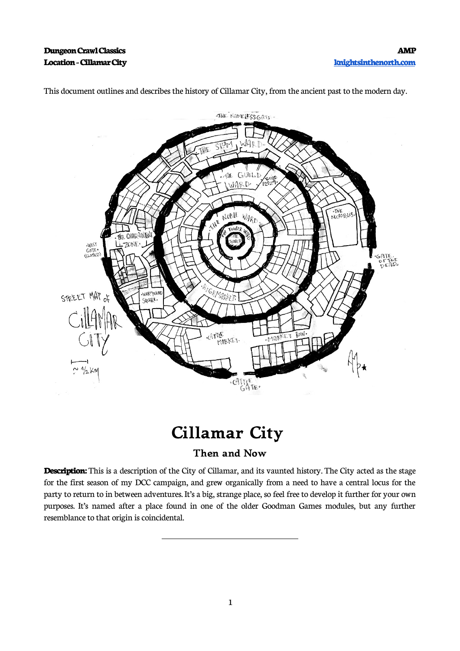

This document outlines and describes the history of Cillamar City, from the ancient past to the modern day.

# **Cillamar City**

### **Then and Now**

**Description:** This is a description of the City of Cillamar, and its vaunted history. The City acted as the stage for the first season of my DCC campaign, and grew organically from a need to have a central locus for the party to return to in between adventures. It's a big, strange place, so feel free to develop it further for your own purposes. It's named after a place found in one of the older Goodman Games modules, but any further resemblance to that origin is coincidental.

 $\overline{a}$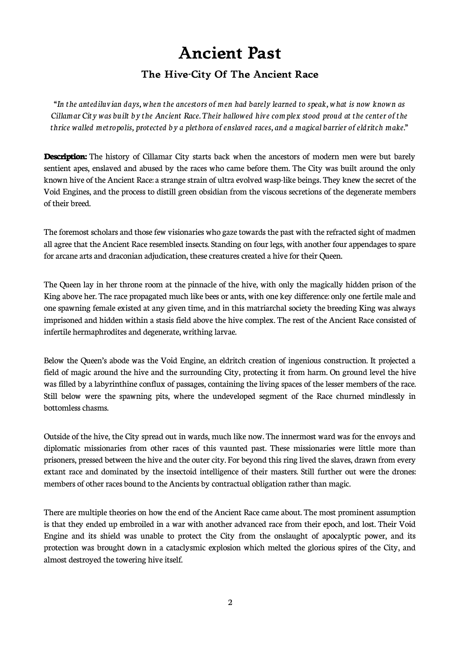### **Ancient Past**

### **The Hive-City Of The Ancient Race**

"*In the antediluvian days, when the ancestors of men had barely learned to speak, what is now known as Cillamar City was built by the Ancient Race. Their hallowed hive complex stood proud at the center of the thrice walled metropolis, protected by a plethora of enslaved races, and a magical barrier of eldritch make."*

**Description:** The history of Cillamar City starts back when the ancestors of modern men were but barely sentient apes, enslaved and abused by the races who came before them. The City was built around the only known hive of the Ancient Race: a strange strain of ultra evolved wasp-like beings*.* They knew the secret of the Void Engines, and the process to distill green obsidian from the viscous secretions of the degenerate members of their breed.

The foremost scholars and those few visionaries who gaze towards the past with the refracted sight of madmen all agree that the Ancient Race resembled insects. Standing on four legs, with another four appendages to spare for arcane arts and draconian adjudication, these creatures created a hive for their Queen.

The Queen lay in her throne room at the pinnacle of the hive, with only the magically hidden prison of the King above her. The race propagated much like bees or ants, with one key difference: only one fertile male and one spawning female existed at any given time, and in this matriarchal society the breeding King was always imprisoned and hidden within a stasis field above the hive complex. The rest of the Ancient Race consisted of infertile hermaphrodites and degenerate, writhing larvae.

Below the Queen's abode was the Void Engine, an eldritch creation of ingenious construction. It projected a field of magic around the hive and the surrounding City, protecting it from harm. On ground level the hive was filled by a labyrinthine conflux of passages, containing the living spaces of the lesser members of the race. Still below were the spawning pits, where the undeveloped segment of the Race churned mindlessly in bottomless chasms.

Outside of the hive, the City spread out in wards, much like now. The innermost ward was for the envoys and diplomatic missionaries from other races of this vaunted past. These missionaries were little more than prisoners, pressed between the hive and the outer city. For beyond this ring lived the slaves, drawn from every extant race and dominated by the insectoid intelligence of their masters. Still further out were the drones: members of other races bound to the Ancients by contractual obligation rather than magic.

There are multiple theories on how the end of the Ancient Race came about. The most prominent assumption is that they ended up embroiled in a war with another advanced race from their epoch, and lost. Their Void Engine and its shield was unable to protect the City from the onslaught of apocalyptic power, and its protection was brought down in a cataclysmic explosion which melted the glorious spires of the City, and almost destroyed the towering hive itself.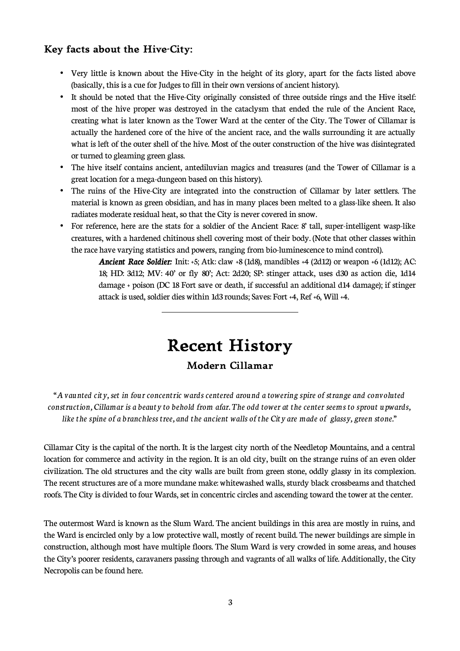### **Key facts about the Hive-City:**

- Very little is known about the Hive-City in the height of its glory, apart for the facts listed above (basically, this is a cue for Judges to fill in their own versions of ancient history).
- It should be noted that the Hive-City originally consisted of three outside rings and the Hive itself: most of the hive proper was destroyed in the cataclysm that ended the rule of the Ancient Race, creating what is later known as the Tower Ward at the center of the City. The Tower of Cillamar is actually the hardened core of the hive of the ancient race, and the walls surrounding it are actually what is left of the outer shell of the hive. Most of the outer construction of the hive was disintegrated or turned to gleaming green glass.
- The hive itself contains ancient, antediluvian magics and treasures (and the Tower of Cillamar is a great location for a mega-dungeon based on this history).
- The ruins of the Hive-City are integrated into the construction of Cillamar by later settlers. The material is known as green obsidian, and has in many places been melted to a glass-like sheen. It also radiates moderate residual heat, so that the City is never covered in snow.
- For reference, here are the stats for a soldier of the Ancient Race: 8' tall, super-intelligent wasp-like creatures, with a hardened chitinous shell covering most of their body. (Note that other classes within the race have varying statistics and powers, ranging from bio-luminescence to mind control).

*Ancient Race Soldier:* Init: +5; Atk: claw +8 (1d8), mandibles +4 (2d12) or weapon +6 (1d12); AC: 18; HD: 3d12; MV: 40' or fly 80'; Act: 2d20; SP: stinger attack, uses d30 as action die, 1d14 damage + poison (DC 18 Fort save or death, if successful an additional d14 damage); if stinger attack is used, soldier dies within 1d3 rounds; Saves: Fort +4, Ref +6, Will +4.

## **Recent History**

 $\overline{\phantom{a}}$ 

### **Modern Cillamar**

"*A vaunted city, set in four concentric wards centered around a towering spire of strange and convoluted construction, Cillamar is a beauty to behold from afar. The odd tower at the center seems to sprout upwards, like the spine of a branchless tree, and the ancient walls of the City are made of glassy, green stone."*

Cillamar City is the capital of the north. It is the largest city north of the Needletop Mountains, and a central location for commerce and activity in the region. It is an old city, built on the strange ruins of an even older civilization. The old structures and the city walls are built from green stone, oddly glassy in its complexion. The recent structures are of a more mundane make: whitewashed walls, sturdy black crossbeams and thatched roofs. The City is divided to four Wards, set in concentric circles and ascending toward the tower at the center.

The outermost Ward is known as the Slum Ward. The ancient buildings in this area are mostly in ruins, and the Ward is encircled only by a low protective wall, mostly of recent build. The newer buildings are simple in construction, although most have multiple floors. The Slum Ward is very crowded in some areas, and houses the City's poorer residents, caravaners passing through and vagrants of all walks of life. Additionally, the City Necropolis can be found here.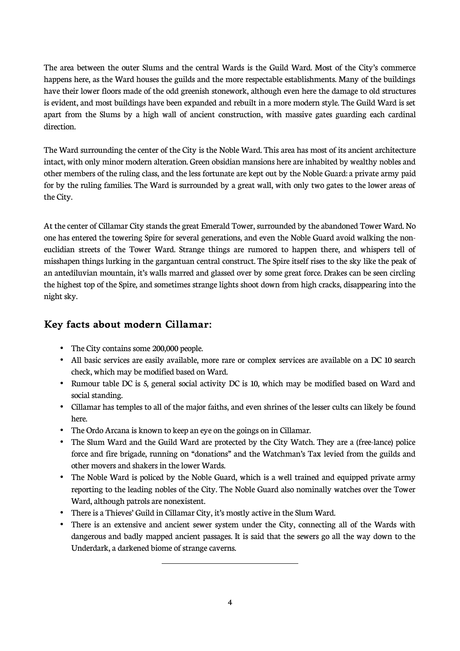The area between the outer Slums and the central Wards is the Guild Ward. Most of the City's commerce happens here, as the Ward houses the guilds and the more respectable establishments. Many of the buildings have their lower floors made of the odd greenish stonework, although even here the damage to old structures is evident, and most buildings have been expanded and rebuilt in a more modern style. The Guild Ward is set apart from the Slums by a high wall of ancient construction, with massive gates guarding each cardinal direction.

The Ward surrounding the center of the City is the Noble Ward. This area has most of its ancient architecture intact, with only minor modern alteration. Green obsidian mansions here are inhabited by wealthy nobles and other members of the ruling class, and the less fortunate are kept out by the Noble Guard: a private army paid for by the ruling families. The Ward is surrounded by a great wall, with only two gates to the lower areas of the City.

At the center of Cillamar City stands the great Emerald Tower, surrounded by the abandoned Tower Ward. No one has entered the towering Spire for several generations, and even the Noble Guard avoid walking the noneuclidian streets of the Tower Ward. Strange things are rumored to happen there, and whispers tell of misshapen things lurking in the gargantuan central construct. The Spire itself rises to the sky like the peak of an antediluvian mountain, it's walls marred and glassed over by some great force. Drakes can be seen circling the highest top of the Spire, and sometimes strange lights shoot down from high cracks, disappearing into the night sky.

### **Key facts about modern Cillamar:**

- The City contains some 200,000 people.
- All basic services are easily available, more rare or complex services are available on a DC 10 search check, which may be modified based on Ward.
- Rumour table DC is 5, general social activity DC is 10, which may be modified based on Ward and social standing.
- Cillamar has temples to all of the major faiths, and even shrines of the lesser cults can likely be found here.
- The Ordo Arcana is known to keep an eye on the goings on in Cillamar.
- The Slum Ward and the Guild Ward are protected by the City Watch. They are a (free-lance) police force and fire brigade, running on "donations" and the Watchman's Tax levied from the guilds and other movers and shakers in the lower Wards.
- The Noble Ward is policed by the Noble Guard, which is a well trained and equipped private army reporting to the leading nobles of the City. The Noble Guard also nominally watches over the Tower Ward, although patrols are nonexistent.
- There is a Thieves' Guild in Cillamar City, it's mostly active in the Slum Ward.

 $\overline{\phantom{a}}$ 

There is an extensive and ancient sewer system under the City, connecting all of the Wards with dangerous and badly mapped ancient passages. It is said that the sewers go all the way down to the Underdark, a darkened biome of strange caverns.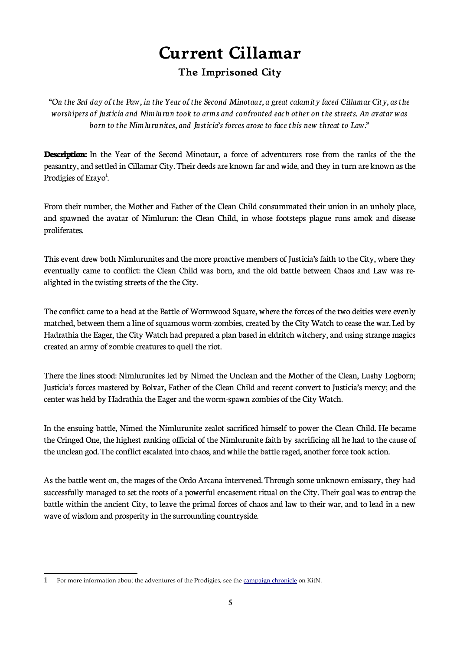### **Current Cillamar The Imprisoned City**

"*On the 3rd day of the Paw, in the Year of the Second Minotaur, a great calamity faced Cillamar City, as the worshipers of Justicia and Nimlurun took to arms and confronted each other on the streets. An avatar was born to the Nimlurunites, and Justicia's forces arose to face this new threat to Law."*

**Description:** In the Year of the Second Minotaur, a force of adventurers rose from the ranks of the the peasantry, and settled in Cillamar City. Their deeds are known far and wide, and they in turn are known as the Prodigies of Erayo<sup>[1](#page-4-0)</sup>.

From their number, the Mother and Father of the Clean Child consummated their union in an unholy place, and spawned the avatar of Nimlurun: the Clean Child, in whose footsteps plague runs amok and disease proliferates.

This event drew both Nimlurunites and the more proactive members of Justicia's faith to the City, where they eventually came to conflict: the Clean Child was born, and the old battle between Chaos and Law was realighted in the twisting streets of the the City.

The conflict came to a head at the Battle of Wormwood Square, where the forces of the two deities were evenly matched, between them a line of squamous worm-zombies, created by the City Watch to cease the war. Led by Hadrathia the Eager, the City Watch had prepared a plan based in eldritch witchery, and using strange magics created an army of zombie creatures to quell the riot.

There the lines stood: Nimlurunites led by Nimed the Unclean and the Mother of the Clean, Lushy Logborn; Justicia's forces mastered by Bolvar, Father of the Clean Child and recent convert to Justicia's mercy; and the center was held by Hadrathia the Eager and the worm-spawn zombies of the City Watch.

In the ensuing battle, Nimed the Nimlurunite zealot sacrificed himself to power the Clean Child. He became the Cringed One, the highest ranking official of the Nimlurunite faith by sacrificing all he had to the cause of the unclean god. The conflict escalated into chaos, and while the battle raged, another force took action.

As the battle went on, the mages of the Ordo Arcana intervened. Through some unknown emissary, they had successfully managed to set the roots of a powerful encasement ritual on the City. Their goal was to entrap the battle within the ancient City, to leave the primal forces of chaos and law to their war, and to lead in a new wave of wisdom and prosperity in the surrounding countryside.

<span id="page-4-0"></span><sup>1</sup> For more information about the adventures of the Prodigies, see the [campaign chronicle](http://www.knightsinthenorth.com/the-chronicle-of-erayo/) on KitN.